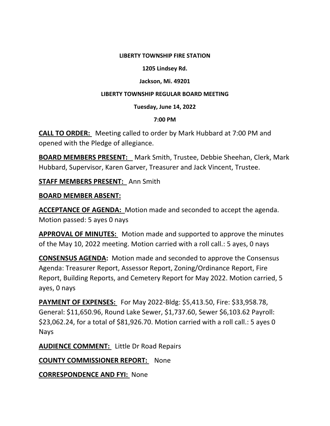#### **LIBERTY TOWNSHIP FIRE STATION**

#### **1205 Lindsey Rd.**

## **Jackson, Mi. 49201**

#### **LIBERTY TOWNSHIP REGULAR BOARD MEETING**

#### **Tuesday, June 14, 2022**

#### **7:00 PM**

**CALL TO ORDER:** Meeting called to order by Mark Hubbard at 7:00 PM and opened with the Pledge of allegiance.

**BOARD MEMBERS PRESENT:**  Mark Smith, Trustee, Debbie Sheehan, Clerk, Mark Hubbard, Supervisor, Karen Garver, Treasurer and Jack Vincent, Trustee.

**STAFF MEMBERS PRESENT:**  Ann Smith

## **BOARD MEMBER ABSENT:**

**ACCEPTANCE OF AGENDA:** Motion made and seconded to accept the agenda. Motion passed: 5 ayes 0 nays

**APPROVAL OF MINUTES:** Motion made and supported to approve the minutes of the May 10, 2022 meeting. Motion carried with a roll call.: 5 ayes, 0 nays

**CONSENSUS AGENDA:** Motion made and seconded to approve the Consensus Agenda: Treasurer Report, Assessor Report, Zoning/Ordinance Report, Fire Report, Building Reports, and Cemetery Report for May 2022. Motion carried, 5 ayes, 0 nays

**PAYMENT OF EXPENSES:** For May 2022‐Bldg: \$5,413.50, Fire: \$33,958.78, General: \$11,650.96, Round Lake Sewer, \$1,737.60, Sewer \$6,103.62 Payroll: \$23,062.24, for a total of \$81,926.70. Motion carried with a roll call.: 5 ayes 0 Nays

**AUDIENCE COMMENT:** Little Dr Road Repairs

**COUNTY COMMISSIONER REPORT:** None

**CORRESPONDENCE AND FYI:** None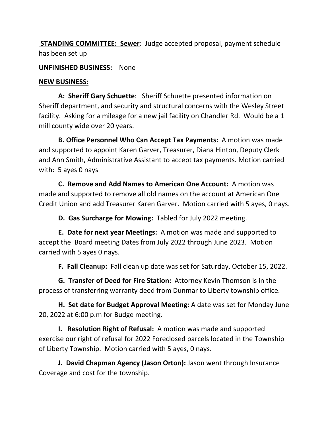**STANDING COMMITTEE: Sewer:** Judge accepted proposal, payment schedule has been set up

## **UNFINISHED BUSINESS:**  None

# **NEW BUSINESS:**

**A: Sheriff Gary Schuette**: Sheriff Schuette presented information on Sheriff department, and security and structural concerns with the Wesley Street facility. Asking for a mileage for a new jail facility on Chandler Rd. Would be a 1 mill county wide over 20 years.

**B. Office Personnel Who Can Accept Tax Payments:** A motion was made and supported to appoint Karen Garver, Treasurer, Diana Hinton, Deputy Clerk and Ann Smith, Administrative Assistant to accept tax payments. Motion carried with: 5 ayes 0 nays

**C. Remove and Add Names to American One Account:** A motion was made and supported to remove all old names on the account at American One Credit Union and add Treasurer Karen Garver. Motion carried with 5 ayes, 0 nays.

**D. Gas Surcharge for Mowing:** Tabled for July 2022 meeting.

**E. Date for next year Meetings:** A motion was made and supported to accept the Board meeting Dates from July 2022 through June 2023. Motion carried with 5 ayes 0 nays.

**F. Fall Cleanup:** Fall clean up date was set for Saturday, October 15, 2022.

**G. Transfer of Deed for Fire Station:** Attorney Kevin Thomson is in the process of transferring warranty deed from Dunmar to Liberty township office.

**H. Set date for Budget Approval Meeting:** A date was set for Monday June 20, 2022 at 6:00 p.m for Budge meeting.

**I. Resolution Right of Refusal:** A motion was made and supported exercise our right of refusal for 2022 Foreclosed parcels located in the Township of Liberty Township. Motion carried with 5 ayes, 0 nays.

**J. David Chapman Agency (Jason Orton):** Jason went through Insurance Coverage and cost for the township.